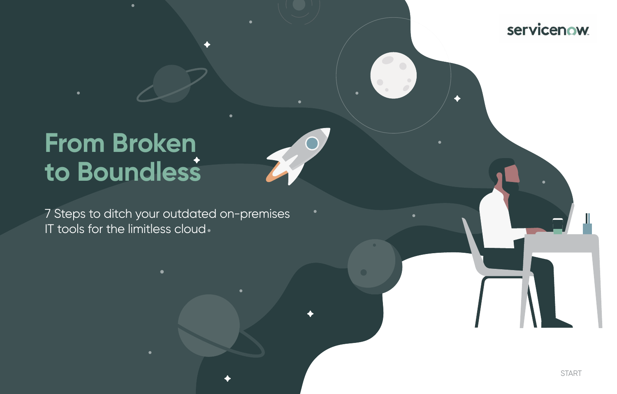7 Steps to ditch your outdated on-premises IT tools for the limitless cloud.

# **From Broken to Boundless**

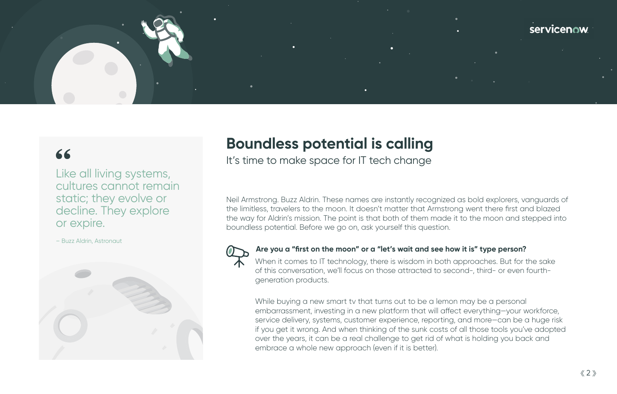

# 66

# **Boundless potential is calling**

It's time to make space for IT tech change

Neil Armstrong. Buzz Aldrin. These names are instantly recognized as bold explorers, vanguards of the limitless, travelers to the moon. It doesn't matter that Armstrong went there first and blazed the way for Aldrin's mission. The point is that both of them made it to the moon and stepped into boundless potential. Before we go on, ask yourself this question.



### **Are you a "first on the moon" or a "let's wait and see how it is" type person?**

When it comes to IT technology, there is wisdom in both approaches. But for the sake of this conversation, we'll focus on those attracted to second-, third- or even fourthgeneration products.

While buying a new smart tv that turns out to be a lemon may be a personal embarrassment, investing in a new platform that will affect everything—your workforce, service delivery, systems, customer experience, reporting, and more—can be a huge risk if you get it wrong. And when thinking of the sunk costs of all those tools you've adopted over the years, it can be a real challenge to get rid of what is holding you back and embrace a whole new approach (even if it is better).

Like all living systems, cultures cannot remain static; they evolve or decline. They explore or expire.

– Buzz Aldrin, Astronaut

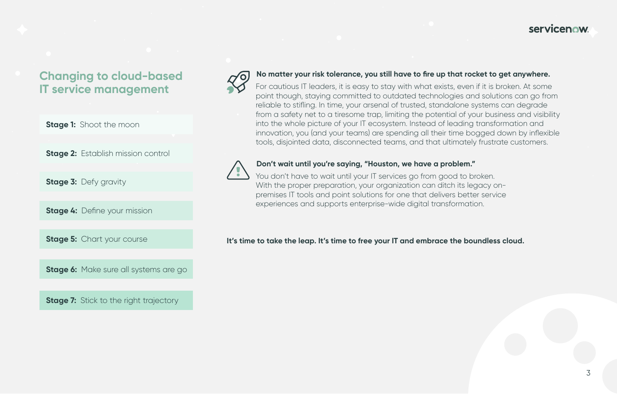#### **No matter your risk tolerance, you still have to fire up that rocket to get anywhere.**

For cautious IT leaders, it is easy to stay with what exists, even if it is broken. At some point though, staying committed to outdated technologies and solutions can go from reliable to stifling. In time, your arsenal of trusted, standalone systems can degrade from a safety net to a tiresome trap, limiting the potential of your business and visibility into the whole picture of your IT ecosystem. Instead of leading transformation and innovation, you (and your teams) are spending all their time bogged down by inflexible tools, disjointed data, disconnected teams, and that ultimately frustrate customers.



You don't have to wait until your IT services go from good to broken. With the proper preparation, your organization can ditch its legacy onpremises IT tools and point solutions for one that delivers better service experiences and supports enterprise-wide digital transformation.

#### **Don't wait until you're saying, "Houston, we have a problem."**

**It's time to take the leap. It's time to free your IT and embrace the boundless cloud.**

# **servicenow**

# **Changing to cloud-based IT service management**

**Stage 1: Shoot the moon** 

**Stage 2: Establish mission control** 

**Stage 3: Defy gravity** 

**Stage 4: Define your mission** 

**Stage 5: Chart your course** 

**Stage 6:** Make sure all systems are go

**Stage 7:** Stick to the right trajectory

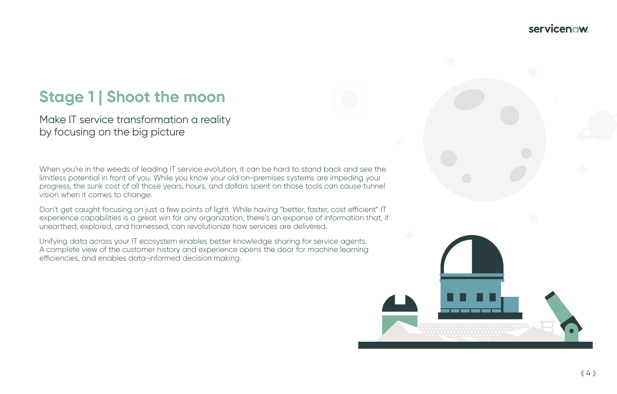# **Stage 1 | Shoot the moon**

Make IT service transformation a reality by focusing on the big picture

When you're in the weeds of leading IT service evolution, it can be hard to stand back and see the limitless potential in front of you. While you know your old on-premises systems are impeding your progress, the sunk cost of all those years, hours, and dollars spent on those tools can cause tunnel vision when it comes to change.

Don't get caught focusing on just a few points of light. While having "better, faster, cost efficient" IT experience capabilities is a great win for any organization, there's an expanse of information that, if unearthed, explored, and harnessed, can revolutionize how services are delivered.

Unifying data across your IT ecosystem enables better knowledge sharing for service agents. A complete view of the customer history and experience opens the door for machine learning efficiencies, and enables data-informed decision making.

# **servicenow**

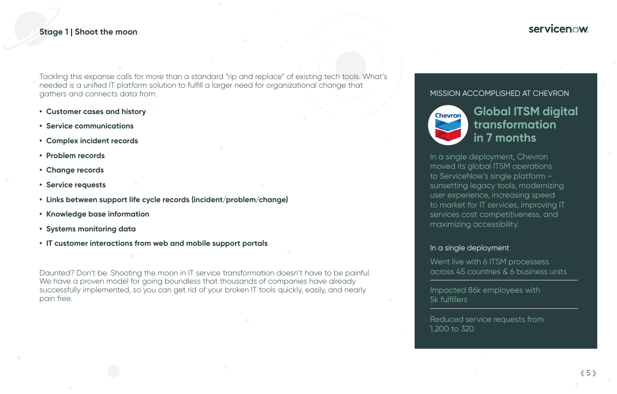#### **Stage 1 | Shoot the moon**

# **Global ITSM digital transformation in 7 months**

In a single deployment, Chevron moved its global ITSM operations to ServiceNow's single platform – sunsetting legacy tools, modernizing user experience, increasing speed to market for IT services, improving IT services cost competitiveness, and maximizing accessibility.

Tackling this expanse calls for more than a standard "rip and replace" of existing tech tools. What's needed is a unified IT platform solution to fulfill a larger need for organizational change that gathers and connects data from:

> Went live with 6 ITSM processess across 45 countries & 6 business units

- **• Customer cases and history**
- **• Service communications**
- **• Complex incident records**
- **• Problem records**
- **• Change records**
- **• Service requests**
- **• Links between support life cycle records (incident/problem/change)**
- **• Knowledge base information**
- **• Systems monitoring data**
- **• IT customer interactions from web and mobile support portals**

Daunted? Don't be. Shooting the moon in IT service transformation doesn't have to be painful. We have a proven model for going boundless that thousands of companies have already successfully implemented, so you can get rid of your broken IT tools quickly, easily, and nearly pain free.

# **servicenow**

#### MISSION ACCOMPLISHED AT CHEVRON



#### In a single deployment

Impacted 86k employees with 5k fulfillers

Reduced service requests from 1,200 to 320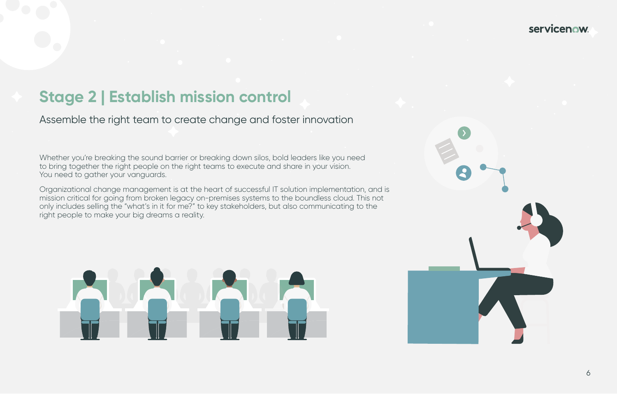# **Stage 2 | Establish mission control**

Assemble the right team to create change and foster innovation

Whether you're breaking the sound barrier or breaking down silos, bold leaders like you need to bring together the right people on the right teams to execute and share in your vision. You need to gather your vanguards.

Organizational change management is at the heart of successful IT solution implementation, and is mission critical for going from broken legacy on-premises systems to the boundless cloud. This not only includes selling the "what's in it for me?" to key stakeholders, but also communicating to the right people to make your big dreams a reality.



## servicenow.

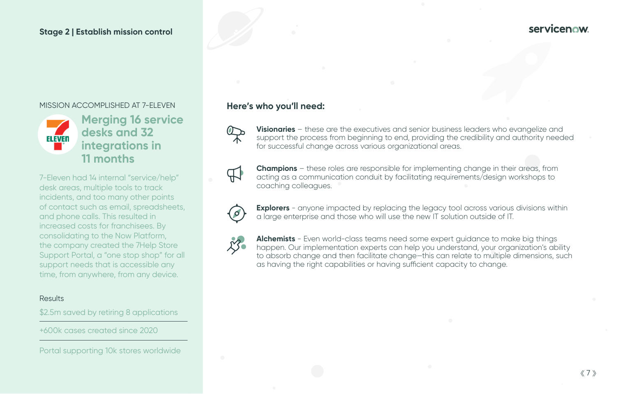## **Here's who you'll need:**



**Visionaries** – these are the executives and senior business leaders who evangelize and support the process from beginning to end, providing the credibility and authority needed for successful change across various organizational areas.



**Explorers** - anyone impacted by replacing the legacy tool across various divisions within a large enterprise and those who will use the new IT solution outside of IT.



**Champions** – these roles are responsible for implementing change in their areas, from acting as a communication conduit by facilitating requirements/design workshops to coaching colleagues.



**Alchemists** - Even world-class teams need some expert guidance to make big things happen. Our implementation experts can help you understand, your organization's ability to absorb change and then facilitate change—this can relate to multiple dimensions, such as having the right capabilities or having sufficient capacity to change.

## **servicenow**

**Merging 16 service desks and 32 integrations in 11 months** 

7-Eleven had 14 internal "service/help" desk areas, multiple tools to track incidents, and too many other points of contact such as email, spreadsheets, and phone calls. This resulted in increased costs for franchisees. By consolidating to the Now Platform, the company created the 7Help Store Support Portal, a "one stop shop" for all support needs that is accessible any time, from anywhere, from any device.

#### **Results**

\$2.5m saved by retiring 8 applications

### **Stage 2 | Establish mission control**

#### MISSION ACCOMPLISHED AT 7-ELEVEN



+600k cases created since 2020

Portal supporting 10k stores worldwide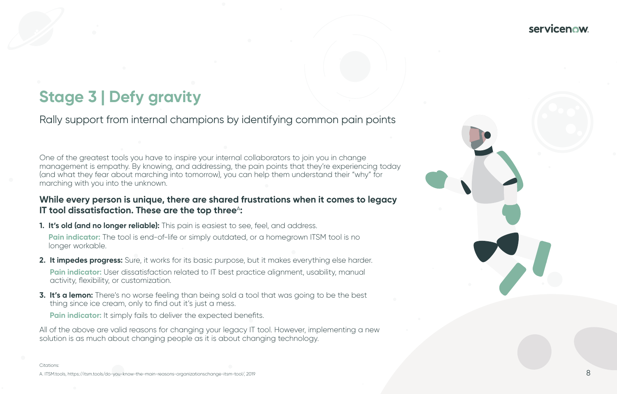# **Stage 3 | Defy gravity**

Rally support from internal champions by identifying common pain points

### **While every person is unique, there are shared frustrations when it comes to legacy IT tool dissatisfaction. These are the top three<sup>A</sup>:**

One of the greatest tools you have to inspire your internal collaborators to join you in change management is empathy. By knowing, and addressing, the pain points that they're experiencing today (and what they fear about marching into tomorrow), you can help them understand their "why" for marching with you into the unknown.

- **1. It's old (and no longer reliable):** This pain is easiest to see, feel, and address. **Pain indicator:** The tool is end-of-life or simply outdated, or a homegrown ITSM tool is no longer workable.
- **2. It impedes progress:** Sure, it works for its basic purpose, but it makes everything else harder. Pain indicator: User dissatisfaction related to IT best practice alignment, usability, manual activity, flexibility, or customization.
- **3. It's a lemon:** There's no worse feeling than being sold a tool that was going to be the best thing since ice cream, only to find out it's just a mess. Pain indicator: It simply fails to deliver the expected benefits.

All of the above are valid reasons for changing your legacy IT tool. However, implementing a new solution is as much about changing people as it is about changing technology.

A. ITSM.tools, https://itsm.tools/do-you-know-the-main-reasons-organizationschange-itsm-tool/, 2019

# **servicenow**

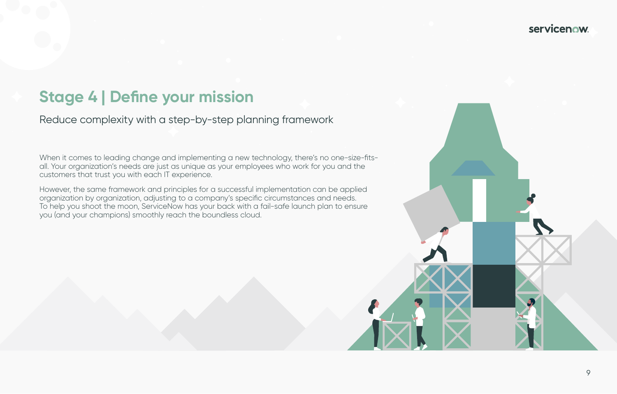# **Stage 4 | Define your mission**

Reduce complexity with a step-by-step planning framework

When it comes to leading change and implementing a new technology, there's no one-size-fitsall. Your organization's needs are just as unique as your employees who work for you and the customers that trust you with each IT experience.

However, the same framework and principles for a successful implementation can be applied organization by organization, adjusting to a company's specific circumstances and needs. To help you shoot the moon, ServiceNow has your back with a fail-safe launch plan to ensure you (and your champions) smoothly reach the boundless cloud.

# servicenow.

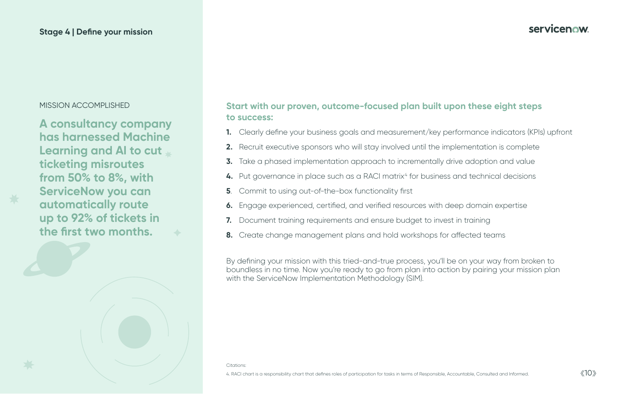## **Start with our proven, outcome-focused plan built upon these eight steps**

# **to success:**

- **1.** Clearly define your business goals and measurement/key performance indicators (KPIs) upfront
- **2.** Recruit executive sponsors who will stay involved until the implementation is complete
- **3.** Take a phased implementation approach to incrementally drive adoption and value
- 4. Put governance in place such as a RACI matrix<sup>4</sup> for business and technical decisions
- **5**. Commit to using out-of-the-box functionality first
- **6.** Engage experienced, certified, and verified resources with deep domain expertise
- **7.** Document training requirements and ensure budget to invest in training
- **8.** Create change management plans and hold workshops for affected teams

By defining your mission with this tried-and-true process, you'll be on your way from broken to boundless in no time. Now you're ready to go from plan into action by pairing your mission plan with the ServiceNow Implementation Methodology (SIM).

### <span id="page-9-0"></span>**Stage 4 | Define your mission**

**A consultancy company has harnessed Machine Learning and AI to cut ticketing misroutes from 50% to 8%, with ServiceNow you can automatically route up to 92% of tickets in the first two months.**

Citations:

# **servicenow**

#### MISSION ACCOMPLISHED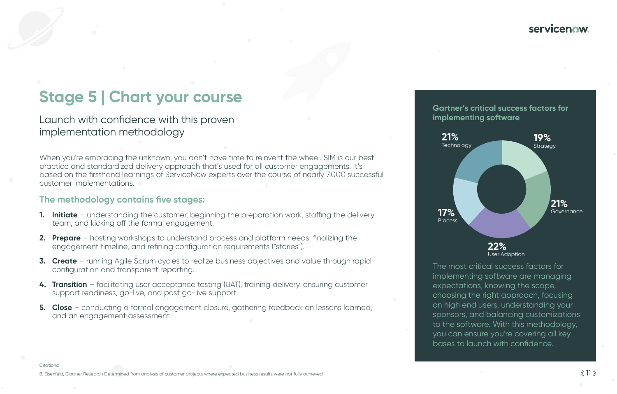# **Stage 5 | Chart your course**

Launch with confidence with this proven implementation methodology

> The most critical success factors for implementing software are managing expectations, knowing the scope, choosing the right approach, focusing on high end users, understanding your sponsors, and balancing customizations to the software. With this methodology, you can ensure you're covering all key bases to launch with confidence.

Citations:

B. Eisenfeld, Gartner Research Determined from analysis of customer projects where expected business results were not fully achieved

# **Servicenow**

When you're embracing the unknown, you don't have time to reinvent the wheel. SIM is our best practice and standardized delivery approach that's used for all customer engagements. It's based on the firsthand learnings of ServiceNow experts over the course of nearly 7,000 successful customer implementations.

- **1. Initiate** understanding the customer, beginning the preparation work, staffing the delivery team, and kicking off the formal engagement.
- **2. Prepare** hosting workshops to understand process and platform needs, finalizing the engagement timeline, and refining configuration requirements ("stories").
- **3. Create** running Agile Scrum cycles to realize business objectives and value through rapid configuration and transparent reporting.
- **4. Transition** facilitating user acceptance testing (UAT), training delivery, ensuring customer support readiness, go-live, and post go-live support.
- **5. Close** conducting a formal engagement closure, gathering feedback on lessons learned, and an engagement assessment.



### **The methodology contains five stages:**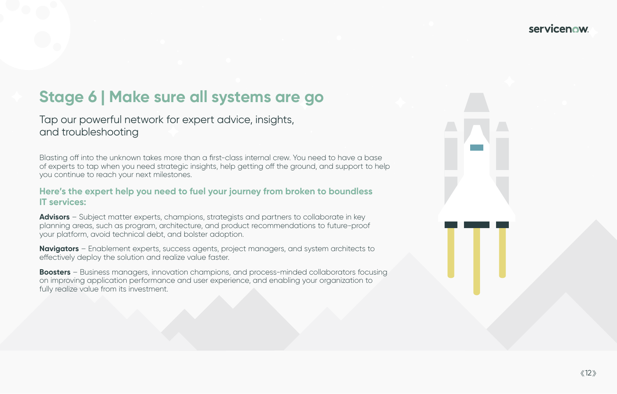# **Stage 6 | Make sure all systems are go**

Tap our powerful network for expert advice, insights, and troubleshooting

Blasting off into the unknown takes more than a first-class internal crew. You need to hat of experts to tap when you need strategic insights, help getting off the ground, and sup you continue to reach your next milestones.

### Here's the expert help you need to fuel your journey from broken to bour **IT services:**

Advisors - Subject matter experts, champions, strategists and partners to collaborate in planning areas, such as program, architecture, and product recommendations to future your platform, avoid technical debt, and bolster adoption.

**Navigators** – Enablement experts, success agents, project managers, and system architects effectively deploy the solution and realize value faster.

**Boosters** - Business managers, innovation champions, and process-minded collaborators on improving application performance and user experience, and enabling your organization fully realize value from its investment.

# **servicenow**

| ve a base<br>port to help |  |  |  |  |
|---------------------------|--|--|--|--|
| ndless                    |  |  |  |  |
| n key<br>-proof           |  |  |  |  |
| itects to                 |  |  |  |  |
| ors focusing<br>ation to  |  |  |  |  |
|                           |  |  |  |  |
|                           |  |  |  |  |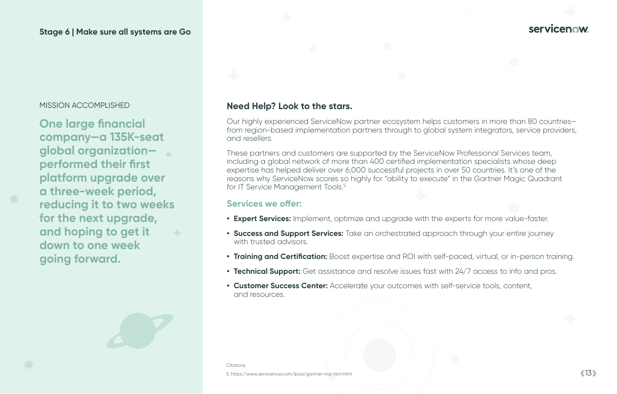**One large financial company—a 135K-seat global organization performed their first platform upgrade over a three-week period, reducing it to two weeks for the next upgrade, and hoping to get it down to one week going forward.**

### MISSION ACCOMPLISHED **Need Help? Look to the stars.**

### **Stage 6 | Make sure all systems are Go**

These partners and customers are supported by the ServiceNow Professional Services team, including a global network of more than 400 certified implementation specialists whose deep expertise has helped deliver over 6,000 successful projects in over 50 countries. It's one of the reasons why ServiceNow scores so highly for "ability to execute" in the Gartner Magic Quadrant for IT Service Management Tools.<sup>5</sup>

Our highly experienced ServiceNow partner ecosystem helps customers in more than 80 countries from region-based implementation partners through to global system integrators, service providers, and resellers.

#### **Services we offer:**

**• Expert Services:** Implement, optimize and upgrade with the experts for more value-faster.

**• Success and Support Services:** Take an orchestrated approach through your entire journey

**• Training and Certification:** Boost expertise and ROI with self-paced, virtual, or in-person training.

- 
- with trusted advisors.
- 
- 
- and resources.

**• Technical Support:** Get assistance and resolve issues fast with 24/7 access to info and pros.

**• Customer Success Center:** Accelerate your outcomes with self-service tools, content,

Citations: 5. https://www.servicenow.com/lpayr/gartner-mq-itsm.html

# **Servicenow**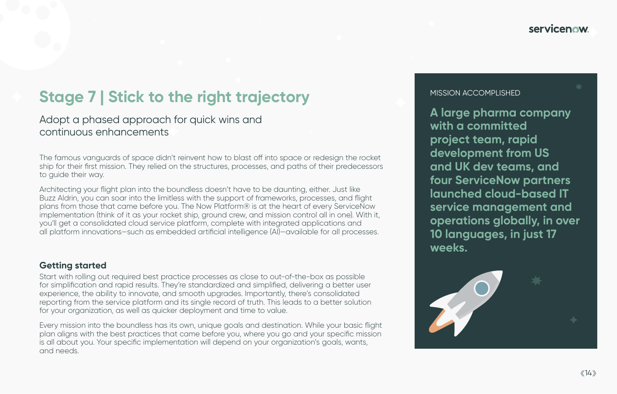**A large pharma company with a committed project team, rapid development from US and UK dev teams, and four ServiceNow partners launched cloud-based IT service management and operations globally, in over 10 languages, in just 17 weeks.**

# **Stage 7 | Stick to the right trajectory**

Adopt a phased approach for quick wins and continuous enhancements

The famous vanguards of space didn't reinvent how to blast off into space or redesign the rocket ship for their first mission. They relied on the structures, processes, and paths of their predecessors to guide their way.

Architecting your flight plan into the boundless doesn't have to be daunting, either. Just like Buzz Aldrin, you can soar into the limitless with the support of frameworks, processes, and flight plans from those that came before you. The Now Platform® is at the heart of every ServiceNow implementation (think of it as your rocket ship, ground crew, and mission control all in one). With it, you'll get a consolidated cloud service platform, complete with integrated applications and all platform innovations—such as embedded artificial intelligence (AI)—available for all processes.

### **Getting started**

Start with rolling out required best practice processes as close to out-of-the-box as possible for simplification and rapid results. They're standardized and simplified, delivering a better user experience, the ability to innovate, and smooth upgrades. Importantly, there's consolidated reporting from the service platform and its single record of truth. This leads to a better solution for your organization, as well as quicker deployment and time to value.

Every mission into the boundless has its own, unique goals and destination. While your basic flight plan aligns with the best practices that came before you, where you go and your specific mission is all about you. Your specific implementation will depend on your organization's goals, wants, and needs.

# **servicenow**

#### MISSION ACCOMPLISHED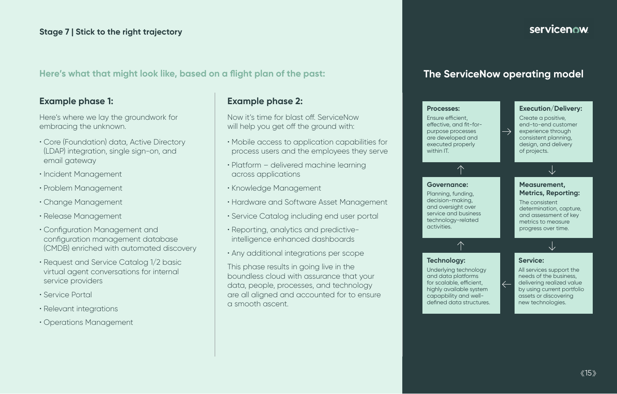### **Example phase 1:**

Here's where we lay the groundwork for embracing the unknown.

- Core (Foundation) data, Active Directory (LDAP) integration, single sign-on, and email gateway
- Incident Management
- Problem Management
- Change Management
- Release Management
- Configuration Management and configuration management database (CMDB) enriched with automated discovery
- Request and Service Catalog 1/2 basic virtual agent conversations for internal service providers
- Service Portal
- Relevant integrations
- Operations Management

## **Example phase 2:**

Now it's time for blast off. ServiceNow will help you get off the ground with:

- Mobile access to application capabilities for process users and the employees they serve
- Platform delivered machine learning across applications
- Knowledge Management
- Hardware and Software Asset Management
- Service Catalog including end user portal
- Reporting, analytics and predictiveintelligence enhanced dashboards
- Any additional integrations per scope

This phase results in going live in the boundless cloud with assurance that your data, people, processes, and technology are all aligned and accounted for to ensure a smooth ascent.

# servicenow

## **Here's what that might look like, based on a flight plan of the past:**

# **The ServiceNow operating model**

#### **Processes:**

Ensure efficient, effective, and fit-forpurpose processes are developed and executed properly within IT.

 $\curvearrowleft$ 

**Governance:**

Planning, funding, decision-making, and oversight over service and business technology-related

activities.

#### **Execution/Delivery:**

Create a positive, end-to-end customer experience through consistent planning, design, and delivery of projects.

#### **Measurement, Metrics, Reporting:**

The consistent determination, capture, and assessment of key metrics to measure progress over time.

 $\sqrt{2}$ 

#### **Service:**

All services support the needs of the business, delivering realized value by using current portfolio assets or discovering new technologies.

**Technology:**

Underlying technology and data platforms for scalable, efficient, highly available system capapbility and welldefined data structures.

 $\curvearrowleft$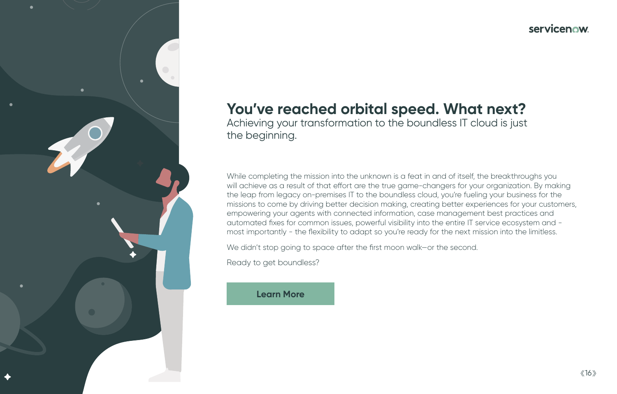# **You've reached orbital speed. What next?** Achieving your transformation to the boundless IT cloud is just



the beginning.

While completing the mission into the unknown is a feat in and of itself, the breakthroughs you will achieve as a result of that effort are the true game-changers for your organization. By making the leap from legacy on-premises IT to the boundless cloud, you're fueling your business for the missions to come by driving better decision making, creating better experiences for your customers, empowering your agents with connected information, case management best practices and automated fixes for common issues, powerful visibility into the entire IT service ecosystem and most importantly - the flexibility to adapt so you're ready for the next mission into the limitless.

We didn't stop going to space after the first moon walk—or the second.

Ready to get boundless?

## **[Learn More](https://www.servicenow.com/products/itsm.html)**

# servicenow.